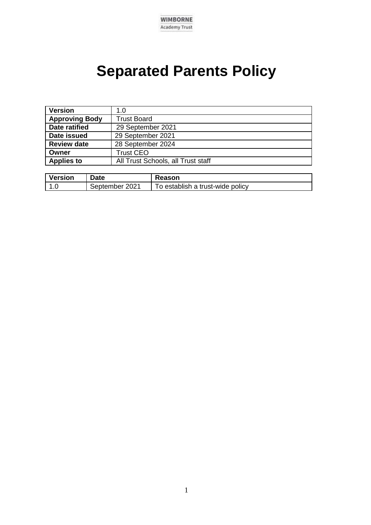

## **Separated Parents Policy**

| <b>Version</b>        | 1.0                                |  |
|-----------------------|------------------------------------|--|
| <b>Approving Body</b> | <b>Trust Board</b>                 |  |
| Date ratified         | 29 September 2021                  |  |
| Date issued           | 29 September 2021                  |  |
| <b>Review date</b>    | 28 September 2024                  |  |
| Owner                 | <b>Trust CEO</b>                   |  |
| <b>Applies to</b>     | All Trust Schools, all Trust staff |  |

| <b>Version</b> | Date           | Reason                           |
|----------------|----------------|----------------------------------|
| 1 C            | September 2021 | To establish a trust-wide policy |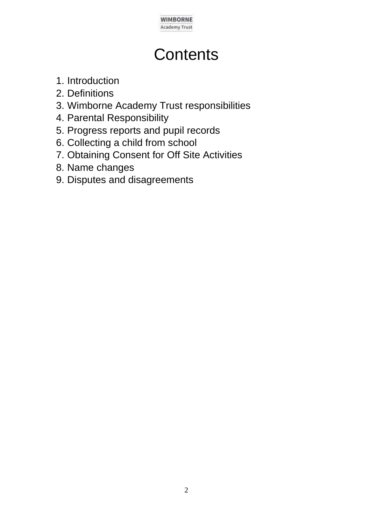

## **Contents**

- 1. Introduction
- 2. Definitions
- 3. Wimborne Academy Trust responsibilities
- 4. Parental Responsibility
- 5. Progress reports and pupil records
- 6. Collecting a child from school
- 7. Obtaining Consent for Off Site Activities
- 8. Name changes
- 9. Disputes and disagreements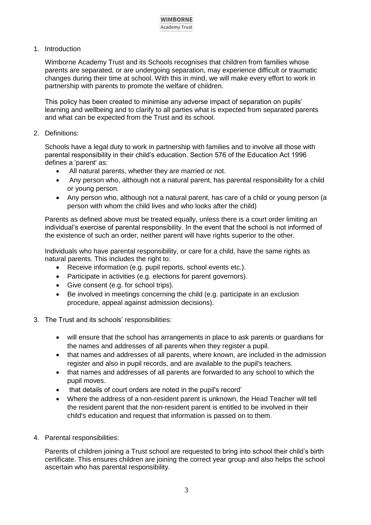1. Introduction

Wimborne Academy Trust and its Schools recognises that children from families whose parents are separated, or are undergoing separation, may experience difficult or traumatic changes during their time at school. With this in mind, we will make every effort to work in partnership with parents to promote the welfare of children.

This policy has been created to minimise any adverse impact of separation on pupils' learning and wellbeing and to clarify to all parties what is expected from separated parents and what can be expected from the Trust and its school.

2. Definitions:

Schools have a legal duty to work in partnership with families and to involve all those with parental responsibility in their child's education. Section 576 of the Education Act 1996 defines a 'parent' as:

- All natural parents, whether they are married or not.
- Any person who, although not a natural parent, has parental responsibility for a child or young person.
- Any person who, although not a natural parent, has care of a child or young person (a person with whom the child lives and who looks after the child)

Parents as defined above must be treated equally, unless there is a court order limiting an individual's exercise of parental responsibility. In the event that the school is not informed of the existence of such an order, neither parent will have rights superior to the other.

Individuals who have parental responsibility, or care for a child, have the same rights as natural parents. This includes the right to:

- Receive information (e.g. pupil reports, school events etc.).
- Participate in activities (e.g. elections for parent governors).
- Give consent (e.g. for school trips).
- Be involved in meetings concerning the child (e.g. participate in an exclusion procedure, appeal against admission decisions).
- 3. The Trust and its schools' responsibilities:
	- will ensure that the school has arrangements in place to ask parents or guardians for the names and addresses of all parents when they register a pupil.
	- that names and addresses of all parents, where known, are included in the admission register and also in pupil records, and are available to the pupil's teachers.
	- that names and addresses of all parents are forwarded to any school to which the pupil moves.
	- that details of court orders are noted in the pupil's record'
	- Where the address of a non-resident parent is unknown, the Head Teacher will tell the resident parent that the non-resident parent is entitled to be involved in their child's education and request that information is passed on to them.
- 4. Parental responsibilities:

Parents of children joining a Trust school are requested to bring into school their child's birth certificate. This ensures children are joining the correct year group and also helps the school ascertain who has parental responsibility.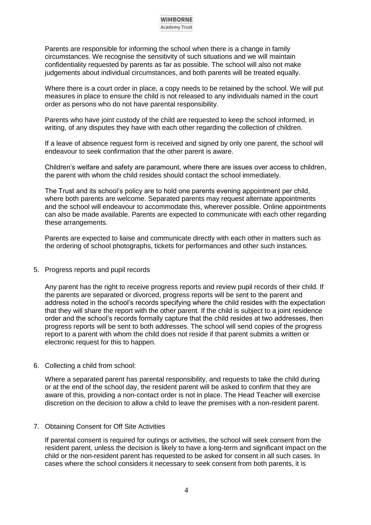

Parents are responsible for informing the school when there is a change in family circumstances. We recognise the sensitivity of such situations and we will maintain confidentiality requested by parents as far as possible. The school will also not make judgements about individual circumstances, and both parents will be treated equally.

Where there is a court order in place, a copy needs to be retained by the school. We will put measures in place to ensure the child is not released to any individuals named in the court order as persons who do not have parental responsibility.

Parents who have joint custody of the child are requested to keep the school informed, in writing, of any disputes they have with each other regarding the collection of children.

If a leave of absence request form is received and signed by only one parent, the school will endeavour to seek confirmation that the other parent is aware.

Children's welfare and safety are paramount, where there are issues over access to children, the parent with whom the child resides should contact the school immediately.

The Trust and its school's policy are to hold one parents evening appointment per child, where both parents are welcome. Separated parents may request alternate appointments and the school will endeavour to accommodate this, wherever possible. Online appointments can also be made available. Parents are expected to communicate with each other regarding these arrangements.

Parents are expected to liaise and communicate directly with each other in matters such as the ordering of school photographs, tickets for performances and other such instances.

5. Progress reports and pupil records

Any parent has the right to receive progress reports and review pupil records of their child. If the parents are separated or divorced, progress reports will be sent to the parent and address noted in the school's records specifying where the child resides with the expectation that they will share the report with the other parent. If the child is subject to a joint residence order and the school's records formally capture that the child resides at two addresses, then progress reports will be sent to both addresses. The school will send copies of the progress report to a parent with whom the child does not reside if that parent submits a written or electronic request for this to happen.

6. Collecting a child from school:

Where a separated parent has parental responsibility, and requests to take the child during or at the end of the school day, the resident parent will be asked to confirm that they are aware of this, providing a non-contact order is not in place. The Head Teacher will exercise discretion on the decision to allow a child to leave the premises with a non-resident parent.

## 7. Obtaining Consent for Off Site Activities

If parental consent is required for outings or activities, the school will seek consent from the resident parent, unless the decision is likely to have a long-term and significant impact on the child or the non-resident parent has requested to be asked for consent in all such cases. In cases where the school considers it necessary to seek consent from both parents, it is